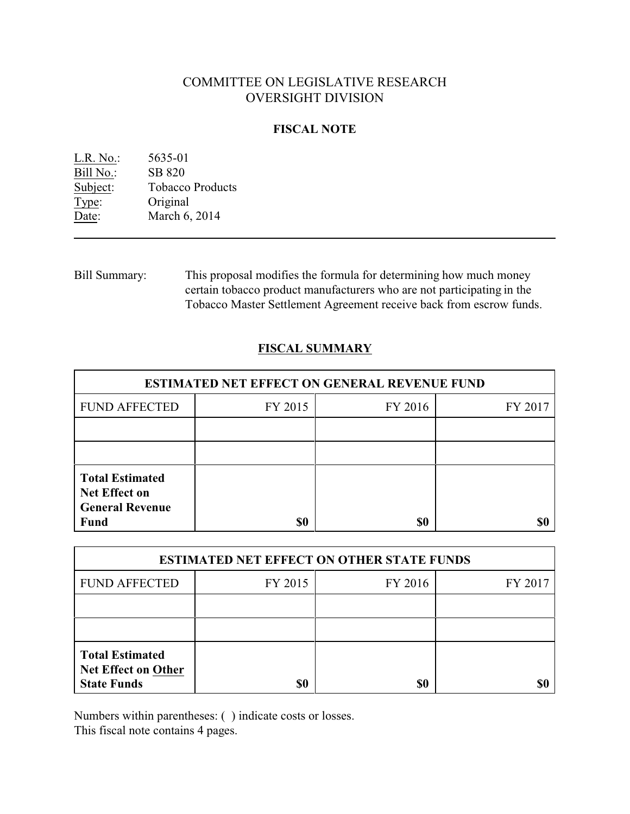# COMMITTEE ON LEGISLATIVE RESEARCH OVERSIGHT DIVISION

## **FISCAL NOTE**

| L.R. No.: | 5635-01                 |
|-----------|-------------------------|
| Bill No.: | SB 820                  |
| Subject:  | <b>Tobacco Products</b> |
| Type:     | Original                |
| Date:     | March 6, 2014           |
|           |                         |

Bill Summary: This proposal modifies the formula for determining how much money certain tobacco product manufacturers who are not participating in the Tobacco Master Settlement Agreement receive back from escrow funds.

## **FISCAL SUMMARY**

| <b>ESTIMATED NET EFFECT ON GENERAL REVENUE FUND</b>                                     |         |         |         |  |
|-----------------------------------------------------------------------------------------|---------|---------|---------|--|
| <b>FUND AFFECTED</b>                                                                    | FY 2015 | FY 2016 | FY 2017 |  |
|                                                                                         |         |         |         |  |
|                                                                                         |         |         |         |  |
| <b>Total Estimated</b><br><b>Net Effect on</b><br><b>General Revenue</b><br><b>Fund</b> | \$0     | \$0     |         |  |

| <b>ESTIMATED NET EFFECT ON OTHER STATE FUNDS</b>                           |         |         |         |  |
|----------------------------------------------------------------------------|---------|---------|---------|--|
| <b>FUND AFFECTED</b>                                                       | FY 2015 | FY 2016 | FY 2017 |  |
|                                                                            |         |         |         |  |
|                                                                            |         |         |         |  |
| <b>Total Estimated</b><br><b>Net Effect on Other</b><br><b>State Funds</b> | \$0     | \$0     |         |  |

Numbers within parentheses: ( ) indicate costs or losses.

This fiscal note contains 4 pages.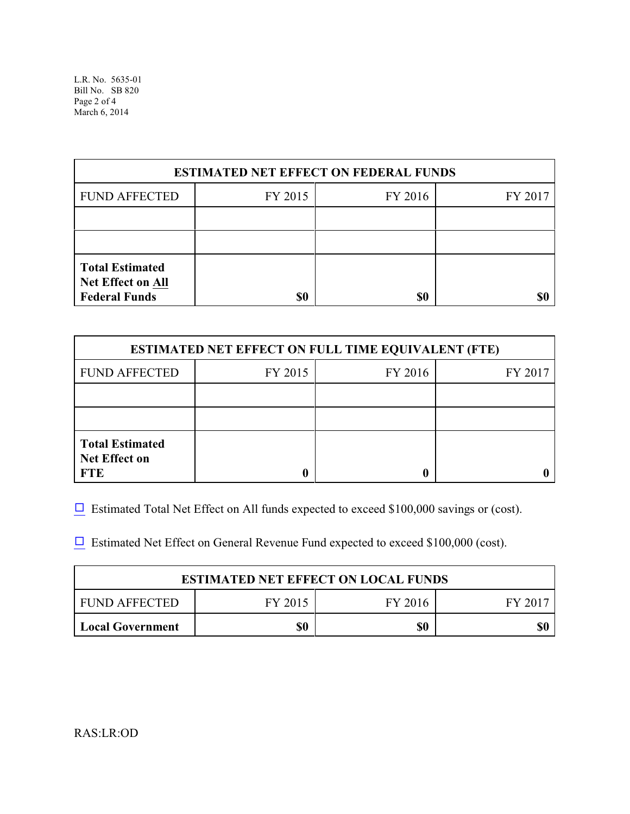L.R. No. 5635-01 Bill No. SB 820 Page 2 of 4 March 6, 2014

| <b>ESTIMATED NET EFFECT ON FEDERAL FUNDS</b>                               |         |         |         |  |
|----------------------------------------------------------------------------|---------|---------|---------|--|
| <b>FUND AFFECTED</b>                                                       | FY 2015 | FY 2016 | FY 2017 |  |
|                                                                            |         |         |         |  |
|                                                                            |         |         |         |  |
| <b>Total Estimated</b><br><b>Net Effect on All</b><br><b>Federal Funds</b> | \$0     | \$0     |         |  |

| <b>ESTIMATED NET EFFECT ON FULL TIME EQUIVALENT (FTE)</b>    |         |         |         |  |
|--------------------------------------------------------------|---------|---------|---------|--|
| <b>FUND AFFECTED</b>                                         | FY 2015 | FY 2016 | FY 2017 |  |
|                                                              |         |         |         |  |
|                                                              |         |         |         |  |
| <b>Total Estimated</b><br><b>Net Effect on</b><br><b>FTE</b> |         |         |         |  |

 $\Box$  Estimated Total Net Effect on All funds expected to exceed \$100,000 savings or (cost).

 $\Box$  Estimated Net Effect on General Revenue Fund expected to exceed \$100,000 (cost).

| <b>ESTIMATED NET EFFECT ON LOCAL FUNDS</b> |         |         |       |
|--------------------------------------------|---------|---------|-------|
| FUND AFFECTED                              | FY 2015 | FY 2016 | FV 20 |
| <b>Local Government</b>                    | \$0     | \$0     | \$(   |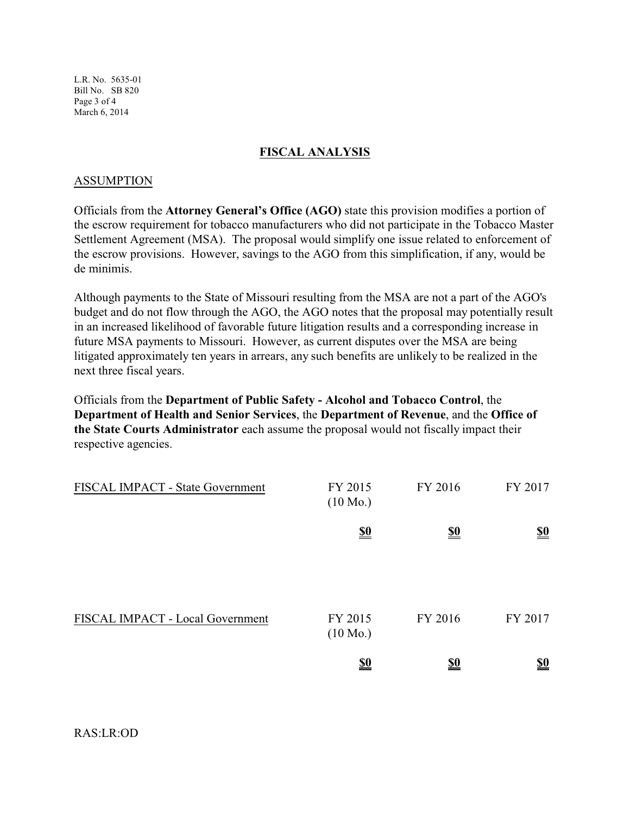L.R. No. 5635-01 Bill No. SB 820 Page 3 of 4 March 6, 2014

## **FISCAL ANALYSIS**

#### ASSUMPTION

Officials from the **Attorney General's Office (AGO)** state this provision modifies a portion of the escrow requirement for tobacco manufacturers who did not participate in the Tobacco Master Settlement Agreement (MSA). The proposal would simplify one issue related to enforcement of the escrow provisions. However, savings to the AGO from this simplification, if any, would be de minimis.

Although payments to the State of Missouri resulting from the MSA are not a part of the AGO's budget and do not flow through the AGO, the AGO notes that the proposal may potentially result in an increased likelihood of favorable future litigation results and a corresponding increase in future MSA payments to Missouri. However, as current disputes over the MSA are being litigated approximately ten years in arrears, any such benefits are unlikely to be realized in the next three fiscal years.

Officials from the **Department of Public Safety - Alcohol and Tobacco Control**, the **Department of Health and Senior Services**, the **Department of Revenue**, and the **Office of the State Courts Administrator** each assume the proposal would not fiscally impact their respective agencies.

| FISCAL IMPACT - State Government | FY 2015<br>$(10 \text{ Mo.})$ | FY 2016    | FY 2017                       |
|----------------------------------|-------------------------------|------------|-------------------------------|
|                                  | $\underline{\underline{\$0}}$ | <u>\$0</u> | $\underline{\underline{\$0}}$ |
| FISCAL IMPACT - Local Government | FY 2015<br>$(10 \text{ Mo.})$ | FY 2016    | FY 2017                       |
|                                  | <u>\$0</u>                    | <u>\$0</u> | $\underline{\underline{\$0}}$ |